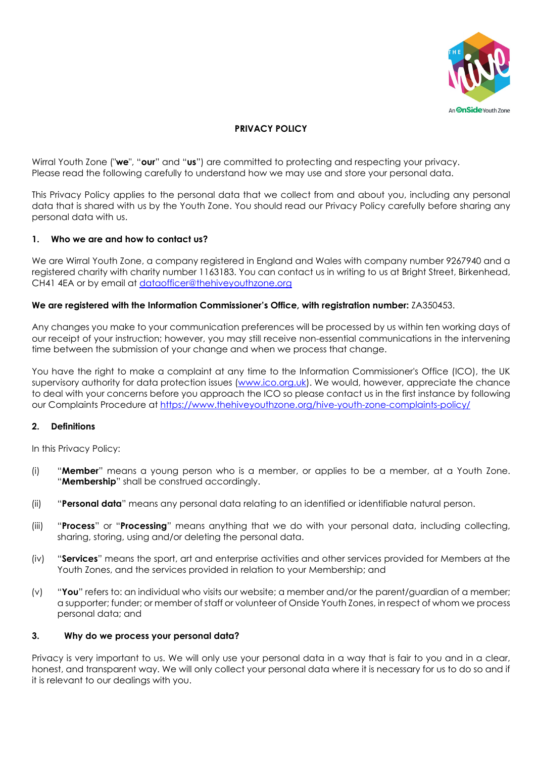

# **PRIVACY POLICY**

Wirral Youth Zone ("**we**", "**our**" and "**us**") are committed to protecting and respecting your privacy. Please read the following carefully to understand how we may use and store your personal data.

This Privacy Policy applies to the personal data that we collect from and about you, including any personal data that is shared with us by the Youth Zone. You should read our Privacy Policy carefully before sharing any personal data with us.

#### **1. Who we are and how to contact us?**

We are Wirral Youth Zone, a company registered in England and Wales with company number 9267940 and a registered charity with charity number 1163183. You can contact us in writing to us at Bright Street, Birkenhead, CH41 4EA or by email at [dataofficer@thehiveyouthzone.org](mailto:dataofficer@thehiveyouthzone.org)

#### We are registered with the Information Commissioner's Office, with registration number: ZA350453.

Any changes you make to your communication preferences will be processed by us within ten working days of our receipt of your instruction; however, you may still receive non-essential communications in the intervening time between the submission of your change and when we process that change.

You have the right to make a complaint at any time to the Information Commissioner's Office (ICO), the UK supervisory authority for data protection issues [\(www.ico.org.uk\)](http://www.ico.org.uk/). We would, however, appreciate the chance to deal with your concerns before you approach the ICO so please contact us in the first instance by following our Complaints Procedure at<https://www.thehiveyouthzone.org/hive-youth-zone-complaints-policy/>

#### **2. Definitions**

In this Privacy Policy:

- (i) "**Member**" means a young person who is a member, or applies to be a member, at a Youth Zone. "**Membership**" shall be construed accordingly.
- (ii) "**Personal data**" means any personal data relating to an identified or identifiable natural person.
- (iii) "**Process**" or "**Processing**" means anything that we do with your personal data, including collecting, sharing, storing, using and/or deleting the personal data.
- (iv) "**Services**" means the sport, art and enterprise activities and other services provided for Members at the Youth Zones, and the services provided in relation to your Membership; and
- (v) "**You**" refers to: an individual who visits our website; a member and/or the parent/guardian of a member; a supporter; funder; or member of staff or volunteer of Onside Youth Zones, in respect of whom we process personal data; and

#### **3. Why do we process your personal data?**

Privacy is very important to us. We will only use your personal data in a way that is fair to you and in a clear, honest, and transparent way. We will only collect your personal data where it is necessary for us to do so and if it is relevant to our dealings with you.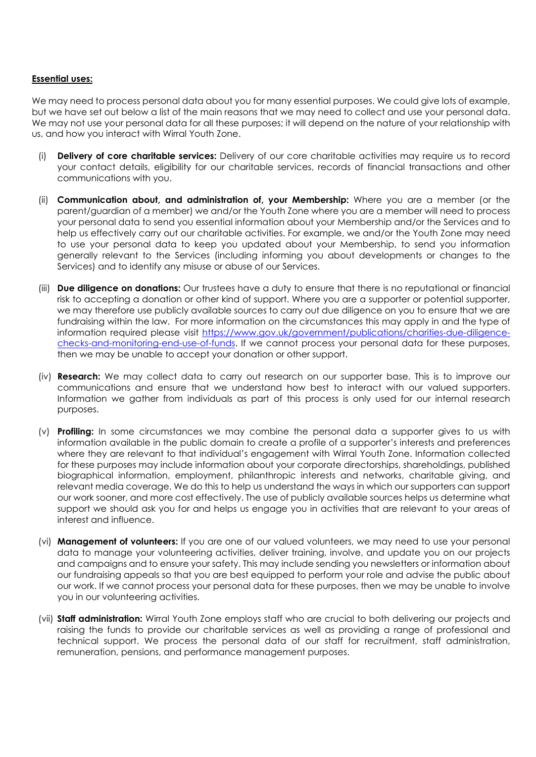### **Essential uses:**

We may need to process personal data about you for many essential purposes. We could give lots of example, but we have set out below a list of the main reasons that we may need to collect and use your personal data. We may not use your personal data for all these purposes; it will depend on the nature of your relationship with us, and how you interact with Wirral Youth Zone.

- (i) **Delivery of core charitable services:** Delivery of our core charitable activities may require us to record your contact details, eligibility for our charitable services, records of financial transactions and other communications with you.
- (ii) **Communication about, and administration of, your Membership:** Where you are a member (or the parent/guardian of a member) we and/or the Youth Zone where you are a member will need to process your personal data to send you essential information about your Membership and/or the Services and to help us effectively carry out our charitable activities. For example, we and/or the Youth Zone may need to use your personal data to keep you updated about your Membership, to send you information generally relevant to the Services (including informing you about developments or changes to the Services) and to identify any misuse or abuse of our Services.
- (iii) **Due diligence on donations:** Our trustees have a duty to ensure that there is no reputational or financial risk to accepting a donation or other kind of support. Where you are a supporter or potential supporter, we may therefore use publicly available sources to carry out due diligence on you to ensure that we are fundraising within the law. For more information on the circumstances this may apply in and the type of information required please visit [https://www.gov.uk/government/publications/charities-due-diligence](https://www.gov.uk/government/publications/charities-due-diligence-checks-and-monitoring-end-use-of-funds)[checks-and-monitoring-end-use-of-funds.](https://www.gov.uk/government/publications/charities-due-diligence-checks-and-monitoring-end-use-of-funds) If we cannot process your personal data for these purposes, then we may be unable to accept your donation or other support.
- (iv) **Research:** We may collect data to carry out research on our supporter base. This is to improve our communications and ensure that we understand how best to interact with our valued supporters. Information we gather from individuals as part of this process is only used for our internal research purposes.
- (v) **Profiling:** In some circumstances we may combine the personal data a supporter gives to us with information available in the public domain to create a profile of a supporter's interests and preferences where they are relevant to that individual's engagement with Wirral Youth Zone. Information collected for these purposes may include information about your corporate directorships, shareholdings, published biographical information, employment, philanthropic interests and networks, charitable giving, and relevant media coverage. We do this to help us understand the ways in which our supporters can support our work sooner, and more cost effectively. The use of publicly available sources helps us determine what support we should ask you for and helps us engage you in activities that are relevant to your areas of interest and influence.
- (vi) **Management of volunteers:** If you are one of our valued volunteers, we may need to use your personal data to manage your volunteering activities, deliver training, involve, and update you on our projects and campaigns and to ensure your safety. This may include sending you newsletters or information about our fundraising appeals so that you are best equipped to perform your role and advise the public about our work. If we cannot process your personal data for these purposes, then we may be unable to involve you in our volunteering activities.
- (vii) **Staff administration:** Wirral Youth Zone employs staff who are crucial to both delivering our projects and raising the funds to provide our charitable services as well as providing a range of professional and technical support. We process the personal data of our staff for recruitment, staff administration, remuneration, pensions, and performance management purposes.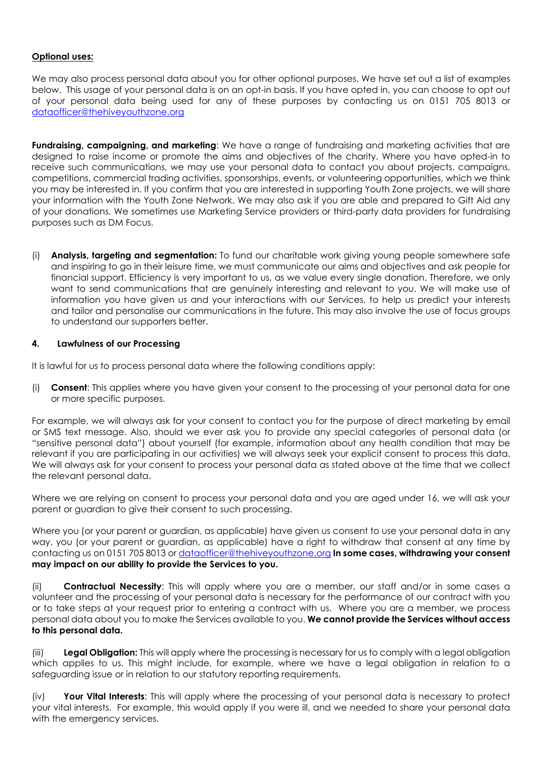# **Optional uses:**

We may also process personal data about you for other optional purposes. We have set out a list of examples below. This usage of your personal data is on an opt-in basis. If you have opted in, you can choose to opt out of your personal data being used for any of these purposes by contacting us on 0151 705 8013 or [dataofficer@thehiveyouthzone.org](mailto:dataofficer@thehiveyouthzone.org)

**Fundraising, campaigning, and marketing**: We have a range of fundraising and marketing activities that are designed to raise income or promote the aims and objectives of the charity. Where you have opted-in to receive such communications, we may use your personal data to contact you about projects, campaigns, competitions, commercial trading activities, sponsorships, events, or volunteering opportunities, which we think you may be interested in. If you confirm that you are interested in supporting Youth Zone projects, we will share your information with the Youth Zone Network. We may also ask if you are able and prepared to Gift Aid any of your donations. We sometimes use Marketing Service providers or third-party data providers for fundraising purposes such as DM Focus.

(i) **Analysis, targeting and segmentation:** To fund our charitable work giving young people somewhere safe and inspiring to go in their leisure time, we must communicate our aims and objectives and ask people for financial support. Efficiency is very important to us, as we value every single donation. Therefore, we only want to send communications that are genuinely interesting and relevant to you. We will make use of information you have given us and your interactions with our Services, to help us predict your interests and tailor and personalise our communications in the future. This may also involve the use of focus groups to understand our supporters better.

# **4. Lawfulness of our Processing**

It is lawful for us to process personal data where the following conditions apply:

(i) **Consent**: This applies where you have given your consent to the processing of your personal data for one or more specific purposes.

For example, we will always ask for your consent to contact you for the purpose of direct marketing by email or SMS text message. Also, should we ever ask you to provide any special categories of personal data (or "sensitive personal data") about yourself (for example, information about any health condition that may be relevant if you are participating in our activities) we will always seek your explicit consent to process this data. We will always ask for your consent to process your personal data as stated above at the time that we collect the relevant personal data.

Where we are relying on consent to process your personal data and you are aged under 16, we will ask your parent or guardian to give their consent to such processing.

Where you (or your parent or guardian, as applicable) have given us consent to use your personal data in any way, you (or your parent or guardian, as applicable) have a right to withdraw that consent at any time by contacting us on 0151 705 8013 o[r dataofficer@thehiveyouthzone.org](mailto:dataofficer@thehiveyouthzone.org) **In some cases, withdrawing your consent may impact on our ability to provide the Services to you.**

(ii) **Contractual Necessity**: This will apply where you are a member, our staff and/or in some cases a volunteer and the processing of your personal data is necessary for the performance of our contract with you or to take steps at your request prior to entering a contract with us. Where you are a member, we process personal data about you to make the Services available to you. **We cannot provide the Services without access to this personal data.**

(iii) **Legal Obligation:** This will apply where the processing is necessary for us to comply with a legal obligation which applies to us. This might include, for example, where we have a legal obligation in relation to a safeguarding issue or in relation to our statutory reporting requirements.

(iv) **Your Vital Interests**: This will apply where the processing of your personal data is necessary to protect your vital interests. For example, this would apply if you were ill, and we needed to share your personal data with the emergency services.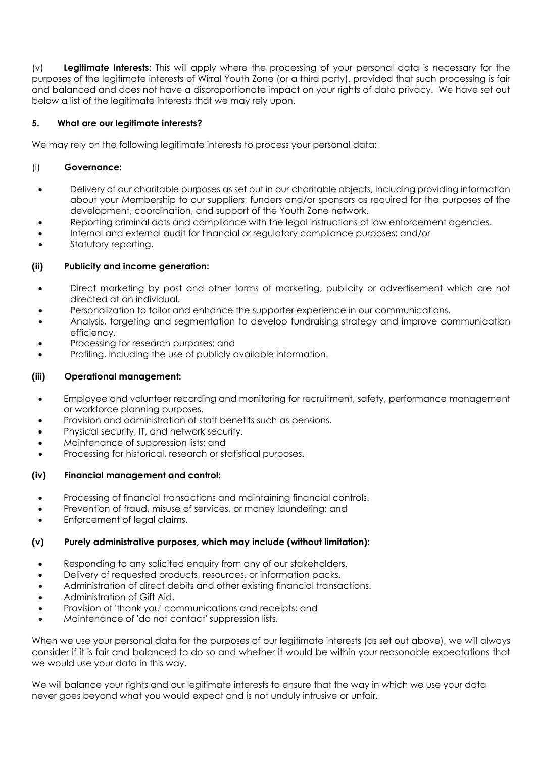(v) **Legitimate Interests**: This will apply where the processing of your personal data is necessary for the purposes of the legitimate interests of Wirral Youth Zone (or a third party), provided that such processing is fair and balanced and does not have a disproportionate impact on your rights of data privacy. We have set out below a list of the legitimate interests that we may rely upon.

# **5. What are our legitimate interests?**

We may rely on the following legitimate interests to process your personal data:

### (i) **Governance:**

- Delivery of our charitable purposes as set out in our charitable objects, including providing information about your Membership to our suppliers, funders and/or sponsors as required for the purposes of the development, coordination, and support of the Youth Zone network.
- Reporting criminal acts and compliance with the legal instructions of law enforcement agencies.
- Internal and external audit for financial or regulatory compliance purposes; and/or
- Statutory reporting.

# **(ii) Publicity and income generation:**

- Direct marketing by post and other forms of marketing, publicity or advertisement which are not directed at an individual.
- Personalization to tailor and enhance the supporter experience in our communications.
- Analysis, targeting and segmentation to develop fundraising strategy and improve communication efficiency.
- Processing for research purposes; and
- Profiling, including the use of publicly available information.

### **(iii) Operational management:**

- Employee and volunteer recording and monitoring for recruitment, safety, performance management or workforce planning purposes.
- Provision and administration of staff benefits such as pensions.
- Physical security, IT, and network security.
- Maintenance of suppression lists; and
- Processing for historical, research or statistical purposes.

#### **(iv) Financial management and control:**

- Processing of financial transactions and maintaining financial controls.
- Prevention of fraud, misuse of services, or money laundering; and
- Enforcement of legal claims.

#### **(v) Purely administrative purposes, which may include (without limitation):**

- Responding to any solicited enquiry from any of our stakeholders.
- Delivery of requested products, resources, or information packs.
- Administration of direct debits and other existing financial transactions.
- Administration of Gift Aid.
- Provision of 'thank you' communications and receipts; and
- Maintenance of 'do not contact' suppression lists.

When we use your personal data for the purposes of our legitimate interests (as set out above), we will always consider if it is fair and balanced to do so and whether it would be within your reasonable expectations that we would use your data in this way.

We will balance your rights and our legitimate interests to ensure that the way in which we use your data never goes beyond what you would expect and is not unduly intrusive or unfair.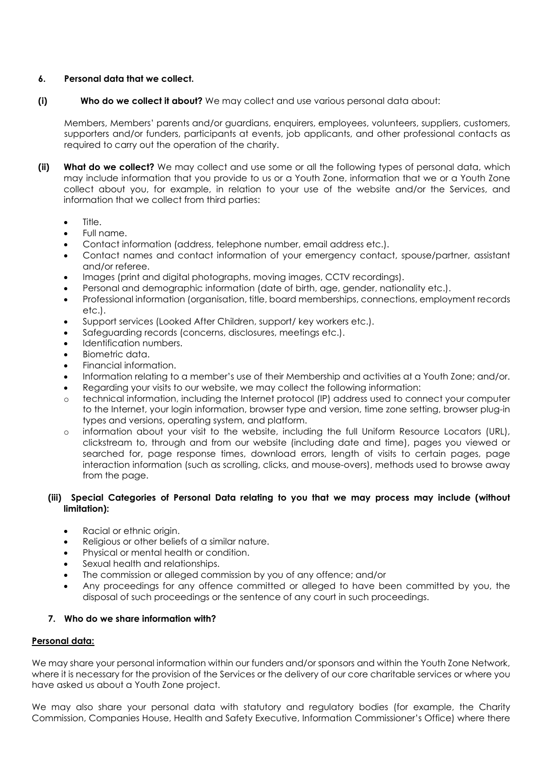# **6. Personal data that we collect.**

**(i) Who do we collect it about?** We may collect and use various personal data about:

Members, Members' parents and/or guardians, enquirers, employees, volunteers, suppliers, customers, supporters and/or funders, participants at events, job applicants, and other professional contacts as required to carry out the operation of the charity.

- **(ii) What do we collect?** We may collect and use some or all the following types of personal data, which may include information that you provide to us or a Youth Zone, information that we or a Youth Zone collect about you, for example, in relation to your use of the website and/or the Services, and information that we collect from third parties:
	- Title.
	- Full name.
	- Contact information (address, telephone number, email address etc.).
	- Contact names and contact information of your emergency contact, spouse/partner, assistant and/or referee.
	- Images (print and digital photographs, moving images, CCTV recordings).
	- Personal and demographic information (date of birth, age, gender, nationality etc.).
	- Professional information (organisation, title, board memberships, connections, employment records etc.).
	- Support services (Looked After Children, support/ key workers etc.).
	- Safeguarding records (concerns, disclosures, meetings etc.).
	- Identification numbers.
	- Biometric data.
	- Financial information.
	- Information relating to a member's use of their Membership and activities at a Youth Zone; and/or.
	- Regarding your visits to our website, we may collect the following information:
	- o technical information, including the Internet protocol (IP) address used to connect your computer to the Internet, your login information, browser type and version, time zone setting, browser plug-in types and versions, operating system, and platform.
	- o information about your visit to the website, including the full Uniform Resource Locators (URL), clickstream to, through and from our website (including date and time), pages you viewed or searched for, page response times, download errors, length of visits to certain pages, page interaction information (such as scrolling, clicks, and mouse-overs), methods used to browse away from the page.

# **(iii) Special Categories of Personal Data relating to you that we may process may include (without limitation):**

- Racial or ethnic origin.
- Religious or other beliefs of a similar nature.
- Physical or mental health or condition.
- Sexual health and relationships.
- The commission or alleged commission by you of any offence; and/or
- Any proceedings for any offence committed or alleged to have been committed by you, the disposal of such proceedings or the sentence of any court in such proceedings.

### **7. Who do we share information with?**

# **Personal data:**

We may share your personal information within our funders and/or sponsors and within the Youth Zone Network, where it is necessary for the provision of the Services or the delivery of our core charitable services or where you have asked us about a Youth Zone project.

We may also share your personal data with statutory and regulatory bodies (for example, the Charity Commission, Companies House, Health and Safety Executive, Information Commissioner's Office) where there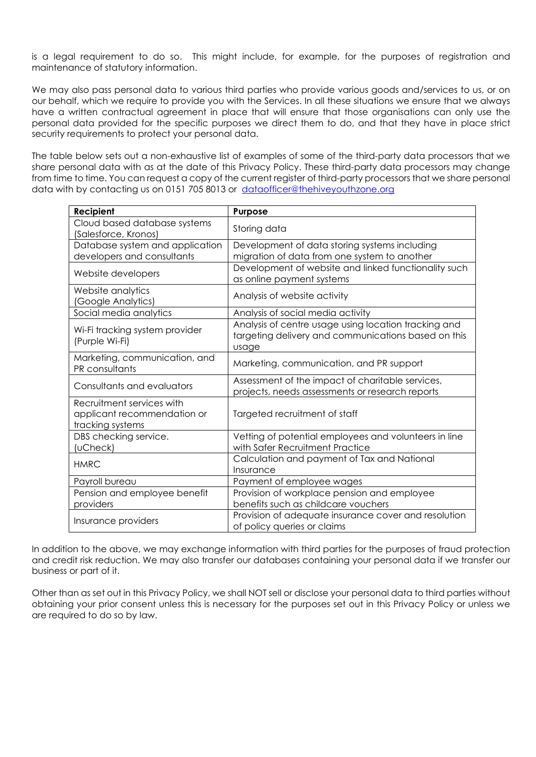is a legal requirement to do so. This might include, for example, for the purposes of registration and maintenance of statutory information.

We may also pass personal data to various third parties who provide various goods and/services to us, or on our behalf, which we require to provide you with the Services. In all these situations we ensure that we always have a written contractual agreement in place that will ensure that those organisations can only use the personal data provided for the specific purposes we direct them to do, and that they have in place strict security requirements to protect your personal data.

The table below sets out a non-exhaustive list of examples of some of the third-party data processors that we share personal data with as at the date of this Privacy Policy. These third-party data processors may change from time to time. You can request a copy of the current register of third-party processors that we share personal data with by contacting us on 0151 705 8013 or [dataofficer@thehiveyouthzone.org](mailto:dataofficer@thehiveyouthzone.org)

| Recipient                                                                    | Purpose                                                                                                              |
|------------------------------------------------------------------------------|----------------------------------------------------------------------------------------------------------------------|
| Cloud based database systems<br>(Salesforce, Kronos)                         | Storing data                                                                                                         |
| Database system and application<br>developers and consultants                | Development of data storing systems including<br>migration of data from one system to another                        |
| Website developers                                                           | Development of website and linked functionality such<br>as online payment systems                                    |
| Website analytics<br>(Google Analytics)                                      | Analysis of website activity                                                                                         |
| Social media analytics                                                       | Analysis of social media activity                                                                                    |
| Wi-Fi tracking system provider<br>(Purple Wi-Fi)                             | Analysis of centre usage using location tracking and<br>targeting delivery and communications based on this<br>usage |
| Marketing, communication, and<br>PR consultants                              | Marketing, communication, and PR support                                                                             |
| Consultants and evaluators                                                   | Assessment of the impact of charitable services,<br>projects, needs assessments or research reports                  |
| Recruitment services with<br>applicant recommendation or<br>tracking systems | Targeted recruitment of staff                                                                                        |
| DBS checking service.<br>(uCheck)                                            | Vetting of potential employees and volunteers in line<br>with Safer Recruitment Practice                             |
| <b>HMRC</b>                                                                  | Calculation and payment of Tax and National<br>Insurance                                                             |
| Payroll bureau                                                               | Payment of employee wages                                                                                            |
| Pension and employee benefit<br>providers                                    | Provision of workplace pension and employee<br>benefits such as childcare vouchers                                   |
| Insurance providers                                                          | Provision of adequate insurance cover and resolution<br>of policy queries or claims                                  |

In addition to the above, we may exchange information with third parties for the purposes of fraud protection and credit risk reduction. We may also transfer our databases containing your personal data if we transfer our business or part of it.

Other than as set out in this Privacy Policy, we shall NOT sell or disclose your personal data to third parties without obtaining your prior consent unless this is necessary for the purposes set out in this Privacy Policy or unless we are required to do so by law.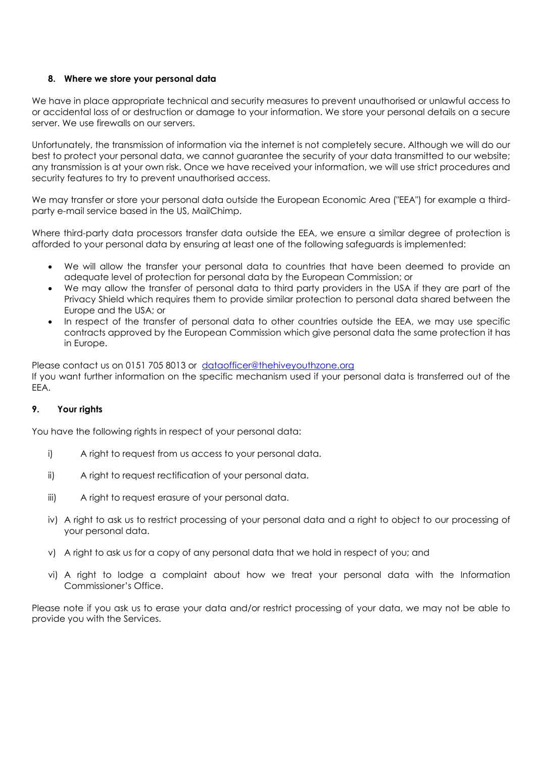### **8. Where we store your personal data**

We have in place appropriate technical and security measures to prevent unauthorised or unlawful access to or accidental loss of or destruction or damage to your information. We store your personal details on a secure server. We use firewalls on our servers.

Unfortunately, the transmission of information via the internet is not completely secure. Although we will do our best to protect your personal data, we cannot guarantee the security of your data transmitted to our website; any transmission is at your own risk. Once we have received your information, we will use strict procedures and security features to try to prevent unauthorised access.

We may transfer or store your personal data outside the European Economic Area ("EEA") for example a thirdparty e-mail service based in the US, MailChimp.

Where third-party data processors transfer data outside the EEA, we ensure a similar degree of protection is afforded to your personal data by ensuring at least one of the following safeguards is implemented:

- We will allow the transfer your personal data to countries that have been deemed to provide an adequate level of protection for personal data by the European Commission; or
- We may allow the transfer of personal data to third party providers in the USA if they are part of the Privacy Shield which requires them to provide similar protection to personal data shared between the Europe and the USA; or
- In respect of the transfer of personal data to other countries outside the EEA, we may use specific contracts approved by the European Commission which give personal data the same protection it has in Europe.

Please contact us on 0151 705 8013 or [dataofficer@thehiveyouthzone.org](mailto:dataofficer@thehiveyouthzone.org)

If you want further information on the specific mechanism used if your personal data is transferred out of the EEA.

### **9. Your rights**

You have the following rights in respect of your personal data:

- i) A right to request from us access to your personal data.
- ii) A right to request rectification of your personal data.
- iii) A right to request erasure of your personal data.
- iv) A right to ask us to restrict processing of your personal data and a right to object to our processing of your personal data.
- v) A right to ask us for a copy of any personal data that we hold in respect of you; and
- vi) A right to lodge a complaint about how we treat your personal data with the Information Commissioner's Office.

Please note if you ask us to erase your data and/or restrict processing of your data, we may not be able to provide you with the Services.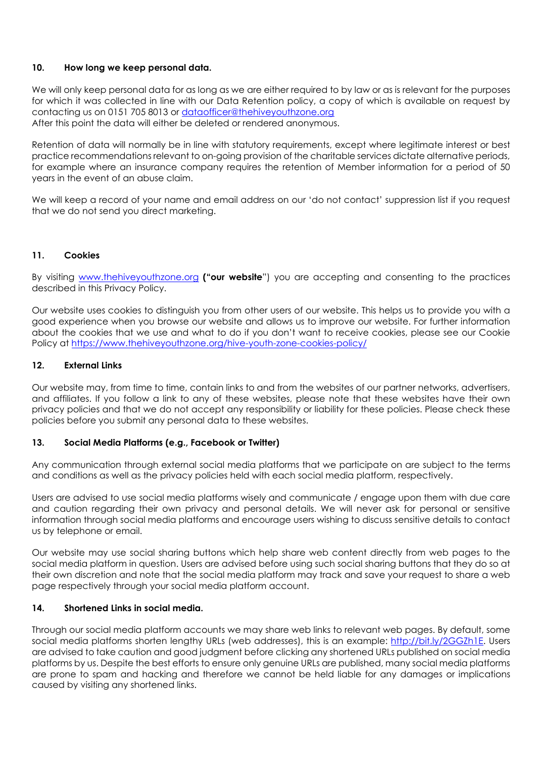### **10. How long we keep personal data.**

We will only keep personal data for as long as we are either required to by law or as is relevant for the purposes for which it was collected in line with our Data Retention policy, a copy of which is available on request by contacting us on 0151 705 8013 or [dataofficer@thehiveyouthzone.org](mailto:dataofficer@thehiveyouthzone.org) After this point the data will either be deleted or rendered anonymous.

Retention of data will normally be in line with statutory requirements, except where legitimate interest or best practice recommendations relevant to on-going provision of the charitable services dictate alternative periods, for example where an insurance company requires the retention of Member information for a period of 50 years in the event of an abuse claim.

We will keep a record of your name and email address on our 'do not contact' suppression list if you request that we do not send you direct marketing.

# **11. Cookies**

By visiting [www.thehiveyouthzone.org](http://www.thehiveyouthzone.org/) **("our website**") you are accepting and consenting to the practices described in this Privacy Policy.

Our website uses cookies to distinguish you from other users of our website. This helps us to provide you with a good experience when you browse our website and allows us to improve our website. For further information about the cookies that we use and what to do if you don't want to receive cookies, please see our Cookie Policy at<https://www.thehiveyouthzone.org/hive-youth-zone-cookies-policy/>

#### **12. External Links**

Our website may, from time to time, contain links to and from the websites of our partner networks, advertisers, and affiliates. If you follow a link to any of these websites, please note that these websites have their own privacy policies and that we do not accept any responsibility or liability for these policies. Please check these policies before you submit any personal data to these websites.

#### **13. Social Media Platforms (e.g., Facebook or Twitter)**

Any communication through external social media platforms that we participate on are subject to the terms and conditions as well as the privacy policies held with each social media platform, respectively.

Users are advised to use social media platforms wisely and communicate / engage upon them with due care and caution regarding their own privacy and personal details. We will never ask for personal or sensitive information through social media platforms and encourage users wishing to discuss sensitive details to contact us by telephone or email.

Our website may use social sharing buttons which help share web content directly from web pages to the social media platform in question. Users are advised before using such social sharing buttons that they do so at their own discretion and note that the social media platform may track and save your request to share a web page respectively through your social media platform account.

#### **14. Shortened Links in social media.**

Through our social media platform accounts we may share web links to relevant web pages. By default, some social media platforms shorten lengthy URLs (web addresses), this is an example: [http://bit.ly/2GGZh1E.](http://bit.ly/2GGZh1E) Users are advised to take caution and good judgment before clicking any shortened URLs published on social media platforms by us. Despite the best efforts to ensure only genuine URLs are published, many social media platforms are prone to spam and hacking and therefore we cannot be held liable for any damages or implications caused by visiting any shortened links.